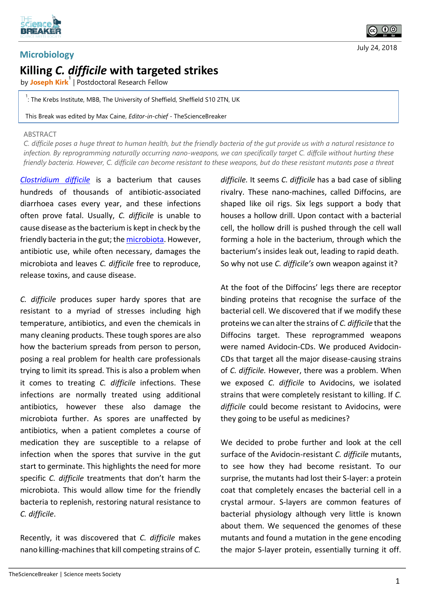

## **Microbiology Killing** *C. difficile* **with targeted strikes**

by **Joseph Kirk<sup>1</sup>** | Postdoctoral Research Fellow

<sup>1</sup>: The Krebs Institute, MBB, The University of Sheffield, Sheffield S10 2TN, UK

This Break was edited by Max Caine, *Editor-in-chief* - TheScienceBreaker

## ABSTRACT

*C. difficile poses a huge threat to human health, but the friendly bacteria of the gut provide us with a natural resistance to infection. By reprogramming naturally occurring nano-weapons, we can specifically target C. diffcile without hurting these friendly bacteria. However, C. difficile can become resistant to these weapons, but do these resistant mutants pose a threat* 

*[Clostridium difficile](https://en.wikipedia.org/wiki/Clostridium_difficile_(bacteria))* is a bacterium that causes hundreds of thousands of antibiotic-associated diarrhoea cases every year, and these infections often prove fatal. Usually, *C. difficile* is unable to cause disease as the bacterium is kept in check by the friendly bacteria in the gut; th[e microbiota.](https://en.wikipedia.org/wiki/Microbiota) However, antibiotic use, while often necessary, damages the microbiota and leaves *C. difficile* free to reproduce, release toxins, and cause disease.

*C. difficile* produces super hardy spores that are resistant to a myriad of stresses including high temperature, antibiotics, and even the chemicals in many cleaning products. These tough spores are also how the bacterium spreads from person to person, posing a real problem for health care professionals trying to limit its spread. This is also a problem when it comes to treating *C. difficile* infections. These infections are normally treated using additional antibiotics, however these also damage the microbiota further. As spores are unaffected by antibiotics, when a patient completes a course of medication they are susceptible to a relapse of infection when the spores that survive in the gut start to germinate. This highlights the need for more specific *C. difficile* treatments that don't harm the microbiota. This would allow time for the friendly bacteria to replenish, restoring natural resistance to *C. difficile*.

Recently, it was discovered that *C. difficile* makes nano killing-machines that kill competing strains of *C.* 

*difficile.* It seems *C. difficile* has a bad case of sibling rivalry. These nano-machines, called Diffocins, are shaped like oil rigs. Six legs support a body that houses a hollow drill. Upon contact with a bacterial cell, the hollow drill is pushed through the cell wall forming a hole in the bacterium, through which the bacterium's insides leak out, leading to rapid death. So why not use *C. difficile's* own weapon against it?

At the foot of the Diffocins' legs there are receptor binding proteins that recognise the surface of the bacterial cell. We discovered that if we modify these proteins we can alter the strains of *C. difficile* that the Diffocins target. These reprogrammed weapons were named Avidocin-CDs. We produced Avidocin-CDs that target all the major disease-causing strains of *C. difficile.* However, there was a problem. When we exposed *C. difficile* to Avidocins, we isolated strains that were completely resistant to killing. If *C. difficile* could become resistant to Avidocins, were they going to be useful as medicines?

We decided to probe further and look at the cell surface of the Avidocin-resistant *C. difficile* mutants, to see how they had become resistant. To our surprise, the mutants had lost their S-layer: a protein coat that completely encases the bacterial cell in a crystal armour. S-layers are common features of bacterial physiology although very little is known about them. We sequenced the genomes of these mutants and found a mutation in the gene encoding the major S-layer protein, essentially turning it off.